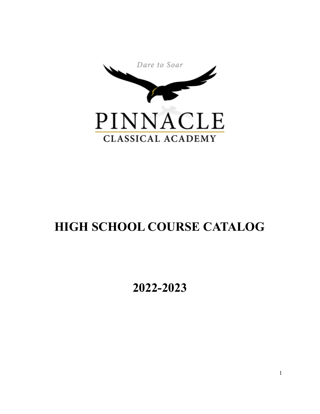

# **HIGH SCHOOL COURSE CATALOG**

**2022-2023**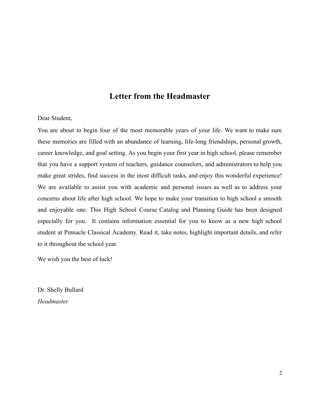### **Letter from the Headmaster**

Dear Student,

You are about to begin four of the most memorable years of your life. We want to make sure these memories are filled with an abundance of learning, life-long friendships, personal growth, career knowledge, and goal setting. As you begin your first year in high school, please remember that you have a support system of teachers, guidance counselors, and administrators to help you make great strides, find success in the most difficult tasks, and enjoy this wonderful experience! We are available to assist you with academic and personal issues as well as to address your concerns about life after high school. We hope to make your transition to high school a smooth and enjoyable one. This High School Course Catalog and Planning Guide has been designed especially for you. It contains information essential for you to know as a new high school student at Pinnacle Classical Academy. Read it, take notes, highlight important details, and refer to it throughout the school year.

We wish you the best of luck!

Dr. Shelly Bullard *Headmaster*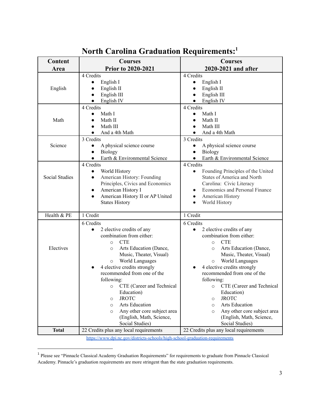| Content               | <b>Courses</b>                             | <b>Courses</b>                                 |
|-----------------------|--------------------------------------------|------------------------------------------------|
| Area                  | <b>Prior to 2020-2021</b>                  | 2020-2021 and after                            |
|                       | 4 Credits                                  | 4 Credits                                      |
|                       | English I                                  | English I<br>$\bullet$                         |
| English               | English II<br>$\bullet$                    | English II<br>$\bullet$                        |
|                       | English III<br>$\bullet$                   | English III                                    |
|                       | English IV<br>$\bullet$                    | English IV                                     |
|                       | 4 Credits                                  | 4 Credits                                      |
|                       | Math I                                     | Math I<br>$\bullet$                            |
| Math                  | Math II                                    | Math II                                        |
|                       | Math III                                   | Math III                                       |
|                       | And a 4th Math<br>$\bullet$                | And a 4th Math                                 |
|                       | 3 Credits                                  | 3 Credits                                      |
| Science               | A physical science course<br>$\bullet$     | A physical science course<br>$\bullet$         |
|                       | <b>Biology</b>                             | <b>Biology</b><br>$\bullet$                    |
|                       | Earth & Environmental Science<br>$\bullet$ | Earth & Environmental Science<br>$\bullet$     |
|                       | 4 Credits                                  | 4 Credits                                      |
|                       | World History<br>$\bullet$                 | Founding Principles of the United<br>$\bullet$ |
| <b>Social Studies</b> | American History: Founding                 | States of America and North                    |
|                       | Principles, Civics and Economics           | Carolina: Civic Literacy                       |
|                       | American History I                         | Economics and Personal Finance                 |
|                       | American History II or AP United           | American History                               |
|                       | <b>States History</b>                      | World History                                  |
|                       |                                            |                                                |
| Health & PE           | 1 Credit                                   | 1 Credit                                       |
|                       | 6 Credits                                  | 6 Credits                                      |
|                       | 2 elective credits of any                  | 2 elective credits of any                      |
|                       | combination from either:                   | combination from either:                       |
|                       | <b>CTE</b><br>$\circ$                      | <b>CTE</b><br>$\circ$                          |
| Electives             | Arts Education (Dance,<br>$\circ$          | Arts Education (Dance,<br>$\circ$              |
|                       | Music, Theater, Visual)                    | Music, Theater, Visual)                        |
|                       | World Languages<br>$\circ$                 | World Languages<br>$\circ$                     |
|                       | 4 elective credits strongly                | 4 elective credits strongly                    |
|                       | recommended from one of the                | recommended from one of the                    |
|                       | following:                                 | following:                                     |
|                       | CTE (Career and Technical<br>$\circ$       | CTE (Career and Technical<br>$\circ$           |
|                       | Education)                                 | Education)                                     |
|                       | <b>JROTC</b><br>$\circ$                    | <b>JROTC</b><br>$\circ$                        |
|                       | Arts Education<br>$\circ$                  | <b>Arts Education</b><br>$\circ$               |
|                       | Any other core subject area<br>$\circ$     | Any other core subject area<br>$\circ$         |
|                       | (English, Math, Science,                   | (English, Math, Science,                       |
|                       | Social Studies)                            | Social Studies)                                |
| <b>Total</b>          | 22 Credits plus any local requirements     | 22 Credits plus any local requirements         |

# **North Carolina Graduation Requirements: 1**

<https://www.dpi.nc.gov/districts-schools/high-school-graduation-requirements>

<sup>1</sup> Please see "Pinnacle Classical Academy Graduation Requirements" for requirements to graduate from Pinnacle Classical Academy. Pinnacle's graduation requirements are more stringent than the state graduation requirements.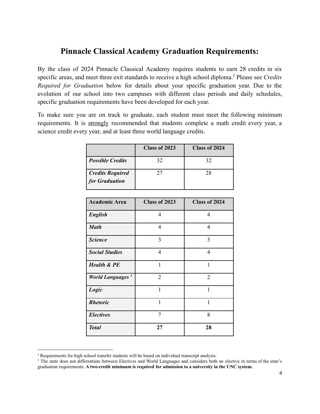# **Pinnacle Classical Academy Graduation Requirements:**

By the class of 2024 Pinnacle Classical Academy requires students to earn 28 credits in six specific areas, and meet three exit standards to receive a high school diploma.<sup>2</sup> Please see *Credits Required for Graduation* below for details about your specific graduation year. Due to the evolution of our school into two campuses with different class periods and daily schedules, specific graduation requirements have been developed for each year.

To make sure you are on track to graduate, each student must meet the following minimum requirements. It is strongly recommended that students complete a math credit every year, a science credit every year, and at least three world language credits.

|                                           | Class of 2023 | Class of 2024 |
|-------------------------------------------|---------------|---------------|
| <b>Possible Credits</b>                   | 32            | 32            |
| <b>Credits Required</b><br>for Graduation |               | 28            |

| <b>Academic Area</b>                | Class of 2023  | Class of 2024  |
|-------------------------------------|----------------|----------------|
| English                             | 4              | 4              |
| <b>Math</b>                         | $\overline{4}$ | $\overline{4}$ |
| <b>Science</b>                      | 3              | 3              |
| <b>Social Studies</b>               | $\overline{4}$ | $\overline{4}$ |
| <b>Health &amp; PE</b>              | 1              | 1              |
| <b>World Languages</b> <sup>3</sup> | $\overline{2}$ | $\overline{2}$ |
| Logic                               | 1              | 1              |
| <b>Rhetoric</b>                     | 1              | 1              |
| <b>Electives</b>                    | 7              | 8              |
| <b>Total</b>                        | 27             | 28             |

<sup>&</sup>lt;sup>2</sup> Requirements for high school transfer students will be based on individual transcript analysis.

<sup>&</sup>lt;sup>3</sup> The state does not differentiate between Electives and World Languages and considers both an elective in terms of the state's graduation requirements. **A two-credit minimum is required for admission to a university in the UNC system.**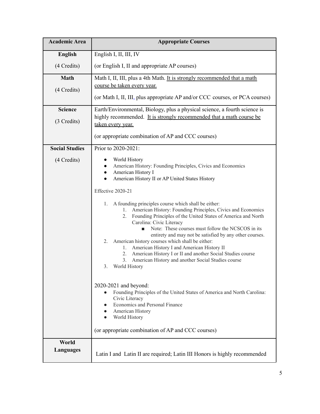| <b>Academic Area</b>  | <b>Appropriate Courses</b>                                                                                                                                                                                                                                                                                                                                                                                                                                                                                                                                                                                            |  |
|-----------------------|-----------------------------------------------------------------------------------------------------------------------------------------------------------------------------------------------------------------------------------------------------------------------------------------------------------------------------------------------------------------------------------------------------------------------------------------------------------------------------------------------------------------------------------------------------------------------------------------------------------------------|--|
| <b>English</b>        | English I, II, III, IV                                                                                                                                                                                                                                                                                                                                                                                                                                                                                                                                                                                                |  |
| (4 Credits)           | (or English I, II and appropriate AP courses)                                                                                                                                                                                                                                                                                                                                                                                                                                                                                                                                                                         |  |
| <b>Math</b>           | Math I, II, III, plus a 4th Math. It is strongly recommended that a math<br>course be taken every year.                                                                                                                                                                                                                                                                                                                                                                                                                                                                                                               |  |
| (4 Credits)           |                                                                                                                                                                                                                                                                                                                                                                                                                                                                                                                                                                                                                       |  |
|                       | (or Math I, II, III, plus appropriate AP and/or CCC courses, or PCA courses)                                                                                                                                                                                                                                                                                                                                                                                                                                                                                                                                          |  |
| <b>Science</b>        | Earth/Environmental, Biology, plus a physical science, a fourth science is                                                                                                                                                                                                                                                                                                                                                                                                                                                                                                                                            |  |
| (3 Credits)           | highly recommended. It is strongly recommended that a math course be<br>taken every year.                                                                                                                                                                                                                                                                                                                                                                                                                                                                                                                             |  |
|                       | (or appropriate combination of AP and CCC courses)                                                                                                                                                                                                                                                                                                                                                                                                                                                                                                                                                                    |  |
| <b>Social Studies</b> | Prior to 2020-2021:                                                                                                                                                                                                                                                                                                                                                                                                                                                                                                                                                                                                   |  |
| (4 Credits)           | World History<br>American History: Founding Principles, Civics and Economics<br>American History I<br>American History II or AP United States History                                                                                                                                                                                                                                                                                                                                                                                                                                                                 |  |
|                       | Effective 2020-21                                                                                                                                                                                                                                                                                                                                                                                                                                                                                                                                                                                                     |  |
|                       | A founding principles course which shall be either:<br>1.<br>American History: Founding Principles, Civics and Economics<br>1.<br>Founding Principles of the United States of America and North<br>2.<br>Carolina: Civic Literacy<br>Note: These courses must follow the NCSCOS in its<br>entirety and may not be satisfied by any other courses.<br>American history courses which shall be either:<br>2.<br>American History I and American History II<br>1.<br>American History I or II and another Social Studies course<br>2.<br>American History and another Social Studies course<br>3.<br>World History<br>3. |  |
|                       | 2020-2021 and beyond:<br>Founding Principles of the United States of America and North Carolina:<br>Civic Literacy<br>Economics and Personal Finance<br>American History<br>World History<br>(or appropriate combination of AP and CCC courses)                                                                                                                                                                                                                                                                                                                                                                       |  |
| World<br>Languages    | Latin I and Latin II are required; Latin III Honors is highly recommended                                                                                                                                                                                                                                                                                                                                                                                                                                                                                                                                             |  |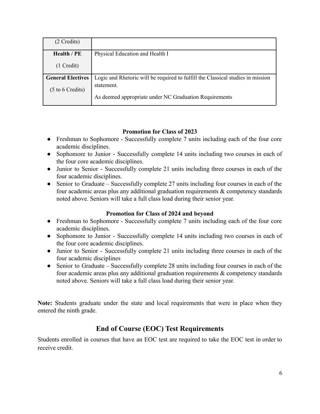| (2 Credits)              |                                                                                 |
|--------------------------|---------------------------------------------------------------------------------|
| <b>Health / PE</b>       | Physical Education and Health I                                                 |
| $(1$ Credit)             |                                                                                 |
| <b>General Electives</b> | Logic and Rhetoric will be required to fulfill the Classical studies in mission |
| (5 to 6 Credits)         | statement.<br>As deemed appropriate under NC Graduation Requirements            |

#### **Promotion for Class of 2023**

- Freshman to Sophomore Successfully complete 7 units including each of the four core academic disciplines.
- Sophomore to Junior Successfully complete 14 units including two courses in each of the four core academic disciplines.
- Junior to Senior Successfully complete 21 units including three courses in each of the four academic disciplines.
- Senior to Graduate Successfully complete 27 units including four courses in each of the four academic areas plus any additional graduation requirements & competency standards noted above. Seniors will take a full class load during their senior year.

### **Promotion for Class of 2024 and beyond**

- Freshman to Sophomore Successfully complete 7 units including each of the four core academic disciplines.
- Sophomore to Junior Successfully complete 14 units including two courses in each of the four core academic disciplines.
- Junior to Senior Successfully complete 21 units including three courses in each of the four academic disciplines
- Senior to Graduate Successfully complete 28 units including four courses in each of the four academic areas plus any additional graduation requirements  $\&$  competency standards noted above. Seniors will take a full class load during their senior year.

**Note:** Students graduate under the state and local requirements that were in place when they entered the ninth grade.

### **End of Course (EOC) Test Requirements**

Students enrolled in courses that have an EOC test are required to take the EOC test in order to receive credit.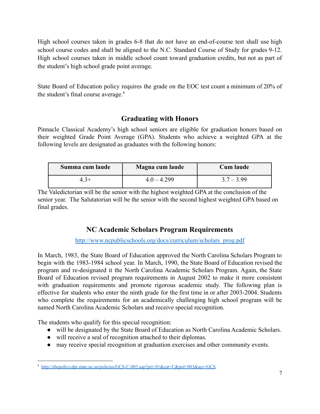High school courses taken in grades 6-8 that do not have an end-of-course test shall use high school course codes and shall be aligned to the N.C. Standard Course of Study for grades 9-12. High school courses taken in middle school count toward graduation credits, but not as part of the student's high school grade point average.

State Board of Education policy requires the grade on the EOC test count a minimum of 20% of the student's final course average.<sup>4</sup>

### **Graduating with Honors**

Pinnacle Classical Academy's high school seniors are eligible for graduation honors based on their weighted Grade Point Average (GPA). Students who achieve a weighted GPA at the following levels are designated as graduates with the following honors:

| Summa cum laude | Magna cum laude | <b>Cum laude</b> |
|-----------------|-----------------|------------------|
|                 | $40 - 4299$     | $3.7 - 3.99$     |

The Valedictorian will be the senior with the highest weighted GPA at the conclusion of the senior year. The Salutatorian will be the senior with the second highest weighted GPA based on final grades.

### **NC Academic Scholars Program Requirements**

[http://www.ncpublicschools.org/docs/curriculum/scholars\\_prog.pdf](http://www.ncpublicschools.org/docs/curriculum/scholars_prog.pdf)

In March, 1983, the State Board of Education approved the North Carolina Scholars Program to begin with the 1983-1984 school year. In March, 1990, the State Board of Education revised the program and re-designated it the North Carolina Academic Scholars Program. Again, the State Board of Education revised program requirements in August 2002 to make it more consistent with graduation requirements and promote rigorous academic study. The following plan is effective for students who enter the ninth grade for the first time in or after 2003-2004. Students who complete the requirements for an academically challenging high school program will be named North Carolina Academic Scholars and receive special recognition.

The students who qualify for this special recognition:

- will be designated by the State Board of Education as North Carolina Academic Scholars.
- will receive a seal of recognition attached to their diplomas.
- may receive special recognition at graduation exercises and other community events.

<sup>4</sup> <http://sbepolicy.dpi.state.nc.us/policies/GCS-C-003.asp?pri=01&cat=C&pol=003&acr=GCS>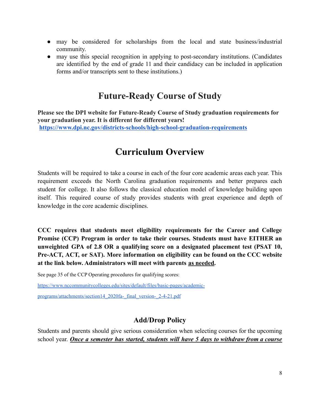- may be considered for scholarships from the local and state business/industrial community.
- may use this special recognition in applying to post-secondary institutions. (Candidates are identified by the end of grade 11 and their candidacy can be included in application forms and/or transcripts sent to these institutions.)

# **Future-Ready Course of Study**

**Please see the DPI website for Future-Ready Course of Study graduation requirements for your graduation year. It is different for different years! <https://www.dpi.nc.gov/districts-schools/high-school-graduation-requirements>**

# **Curriculum Overview**

Students will be required to take a course in each of the four core academic areas each year. This requirement exceeds the North Carolina graduation requirements and better prepares each student for college. It also follows the classical education model of knowledge building upon itself. This required course of study provides students with great experience and depth of knowledge in the core academic disciplines.

**CCC requires that students meet eligibility requirements for the Career and College Promise (CCP) Program in order to take their courses. Students must have EITHER an unweighted GPA of 2.8 OR a qualifying score on a designated placement test (PSAT 10, Pre-ACT, ACT, or SAT). More information on eligibility can be found on the CCC website at the link below. Administrators will meet with parents as needed.**

See page 35 of the CCP Operating procedures for qualifying scores:

<https://www.nccommunitycolleges.edu/sites/default/files/basic-pages/academic->

[programs/attachments/section14\\_2020fa-\\_final\\_version-\\_2-4-21.pdf](https://www.nccommunitycolleges.edu/sites/default/files/basic-pages/academic-)

### **Add/Drop Policy**

Students and parents should give serious consideration when selecting courses for the upcoming school year. *Once a semester has started, students will have 5 days to withdraw from a course*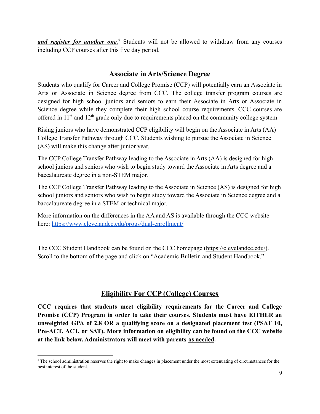*and register for another one.* Students will not be allowed to withdraw from any courses including CCP courses after this five day period.

### **Associate in Arts/Science Degree**

Students who qualify for Career and College Promise (CCP) will potentially earn an Associate in Arts or Associate in Science degree from CCC. The college transfer program courses are designed for high school juniors and seniors to earn their Associate in Arts or Associate in Science degree while they complete their high school course requirements. CCC courses are offered in  $11<sup>th</sup>$  and  $12<sup>th</sup>$  grade only due to requirements placed on the community college system.

Rising juniors who have demonstrated CCP eligibility will begin on the Associate in Arts (AA) College Transfer Pathway through CCC. Students wishing to pursue the Associate in Science (AS) will make this change after junior year.

The CCP College Transfer Pathway leading to the Associate in Arts (AA) is designed for high school juniors and seniors who wish to begin study toward the Associate in Arts degree and a baccalaureate degree in a non-STEM major.

The CCP College Transfer Pathway leading to the Associate in Science (AS) is designed for high school juniors and seniors who wish to begin study toward the Associate in Science degree and a baccalaureate degree in a STEM or technical major.

More information on the differences in the AA and AS is available through the CCC website here: <https://www.clevelandcc.edu/progs/dual-enrollment/>

The CCC Student Handbook can be found on the CCC homepage [\(https://clevelandcc.edu/\)](https://clevelandcc.edu/). Scroll to the bottom of the page and click on "Academic Bulletin and Student Handbook."

### **Eligibility For CCP (College) Courses**

**CCC requires that students meet eligibility requirements for the Career and College Promise (CCP) Program in order to take their courses. Students must have EITHER an unweighted GPA of 2.8 OR a qualifying score on a designated placement test (PSAT 10, Pre-ACT, ACT, or SAT). More information on eligibility can be found on the CCC website at the link below. Administrators will meet with parents as needed.**

<sup>&</sup>lt;sup>5</sup> The school administration reserves the right to make changes in placement under the most extenuating of circumstances for the best interest of the student.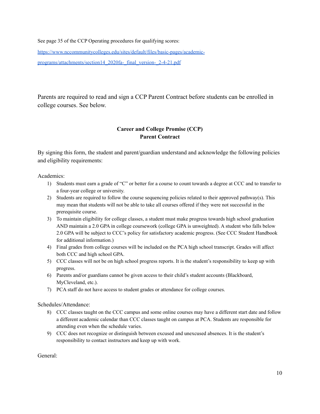See page 35 of the CCP Operating procedures for qualifying scores:

<https://www.nccommunitycolleges.edu/sites/default/files/basic-pages/academic->

[programs/attachments/section14\\_2020fa-\\_final\\_version-\\_2-4-21.pdf](https://www.nccommunitycolleges.edu/sites/default/files/basic-pages/academic-)

Parents are required to read and sign a CCP Parent Contract before students can be enrolled in college courses. See below.

#### **Career and College Promise (CCP) Parent Contract**

By signing this form, the student and parent/guardian understand and acknowledge the following policies and eligibility requirements:

Academics:

- 1) Students must earn a grade of "C" or better for a course to count towards a degree at CCC and to transfer to a four-year college or university.
- 2) Students are required to follow the course sequencing policies related to their approved pathway(s). This may mean that students will not be able to take all courses offered if they were not successful in the prerequisite course.
- 3) To maintain eligibility for college classes, a student must make progress towards high school graduation AND maintain a 2.0 GPA in college coursework (college GPA is unweighted). A student who falls below 2.0 GPA will be subject to CCC's policy for satisfactory academic progress. (See CCC Student Handbook for additional information.)
- 4) Final grades from college courses will be included on the PCA high school transcript. Grades will affect both CCC and high school GPA.
- 5) CCC classes will not be on high school progress reports. It is the student's responsibility to keep up with progress.
- 6) Parents and/or guardians cannot be given access to their child's student accounts (Blackboard, MyCleveland, etc.).
- 7) PCA staff do not have access to student grades or attendance for college courses.

Schedules/Attendance:

- 8) CCC classes taught on the CCC campus and some online courses may have a different start date and follow a different academic calendar than CCC classes taught on campus at PCA. Students are responsible for attending even when the schedule varies.
- 9) CCC does not recognize or distinguish between excused and unexcused absences. It is the student's responsibility to contact instructors and keep up with work.

General: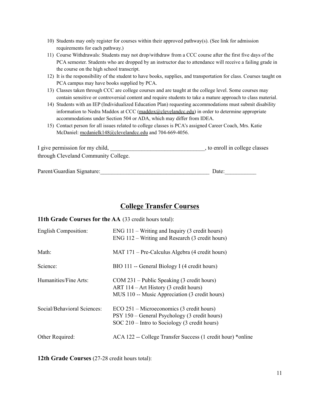- 10) Students may only register for courses within their approved pathway(s). (See link for admission requirements for each pathway.)
- 11) Course Withdrawals: Students may not drop/withdraw from a CCC course after the first five days of the PCA semester. Students who are dropped by an instructor due to attendance will receive a failing grade in the course on the high school transcript.
- 12) It is the responsibility of the student to have books, supplies, and transportation for class. Courses taught on PCA campus may have books supplied by PCA.
- 13) Classes taken through CCC are college courses and are taught at the college level. Some courses may contain sensitive or controversial content and require students to take a mature approach to class material.
- 14) Students with an IEP (Individualized Education Plan) requesting accommodations must submit disability information to Nedra Maddox at CCC [\(maddox@clevelandcc.edu\)](mailto:maddox@clevelandcc.edu) in order to determine appropriate accommodations under Section 504 or ADA, which may differ from IDEA.
- 15) Contact person for all issues related to college classes is PCA's assigned Career Coach, Mrs. Katie McDaniel: [mcdanielk148@clevelandcc.edu](mailto:mcdanielk148@clevelandcc.edu) and 704-669-4056.

| I give permission for my child,      | , to enroll in college classes |
|--------------------------------------|--------------------------------|
| through Cleveland Community College. |                                |

|  | Parent/Guardian Signature: |  | Date: |
|--|----------------------------|--|-------|
|--|----------------------------|--|-------|

### **College Transfer Courses**

#### **11th Grade Courses for the AA** (33 credit hours total):

| <b>English Composition:</b> | $ENG$ 111 – Writing and Inquiry (3 credit hours)<br>ENG 112 – Writing and Research (3 credit hours)                                             |
|-----------------------------|-------------------------------------------------------------------------------------------------------------------------------------------------|
| Math:                       | MAT 171 – Pre-Calculus Algebra (4 credit hours)                                                                                                 |
| Science:                    | BIO 111 -- General Biology I (4 credit hours)                                                                                                   |
| Humanities/Fine Arts:       | COM 231 – Public Speaking (3 credit hours)<br>ART $114 - Art History (3 credit hours)$<br>MUS 110 -- Music Appreciation (3 credit hours)        |
| Social/Behavioral Sciences: | $ECO 251 - Microeconomics (3 credit hours)$<br>PSY 150 – General Psychology (3 credit hours)<br>SOC $210$ – Intro to Sociology (3 credit hours) |
| Other Required:             | ACA 122 -- College Transfer Success (1 credit hour) *online                                                                                     |

**12th Grade Courses** (27-28 credit hours total):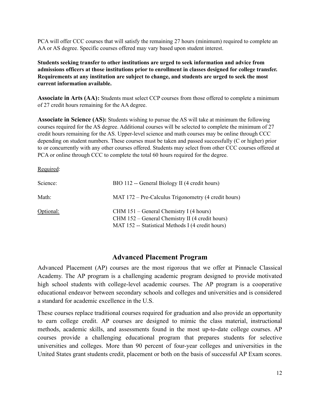PCA will offer CCC courses that will satisfy the remaining 27 hours (minimum) required to complete an AA or AS degree. Specific courses offered may vary based upon student interest.

**Students seeking transfer to other institutions are urged to seek information and advice from admissions officers at those institutions prior to enrollment in classes designed for college transfer. Requirements at any institution are subject to change, and students are urged to seek the most current information available.**

**Associate in Arts (AA):** Students must select CCP courses from those offered to complete a minimum of 27 credit hours remaining for the AA degree.

**Associate in Science (AS):** Students wishing to pursue the AS will take at minimum the following courses required for the AS degree. Additional courses will be selected to complete the minimum of 27 credit hours remaining for the AS. Upper-level science and math courses may be online through CCC depending on student numbers. These courses must be taken and passed successfully (C or higher) prior to or concurrently with any other courses offered. Students may select from other CCC courses offered at PCA or online through CCC to complete the total 60 hours required for the degree.

#### Required:

| Science:  | BIO 112 -- General Biology II (4 credit hours)                                                                                                  |
|-----------|-------------------------------------------------------------------------------------------------------------------------------------------------|
| Math:     | MAT 172 – Pre-Calculus Trigonometry (4 credit hours)                                                                                            |
| Optional: | CHM 151 – General Chemistry I (4 hours)<br>CHM 152 – General Chemistry II (4 credit hours)<br>MAT 152 -- Statistical Methods I (4 credit hours) |

#### **Advanced Placement Program**

Advanced Placement (AP) courses are the most rigorous that we offer at Pinnacle Classical Academy. The AP program is a challenging academic program designed to provide motivated high school students with college-level academic courses. The AP program is a cooperative educational endeavor between secondary schools and colleges and universities and is considered a standard for academic excellence in the U.S.

These courses replace traditional courses required for graduation and also provide an opportunity to earn college credit. AP courses are designed to mimic the class material, instructional methods, academic skills, and assessments found in the most up-to-date college courses. AP courses provide a challenging educational program that prepares students for selective universities and colleges. More than 90 percent of four-year colleges and universities in the United States grant students credit, placement or both on the basis of successful AP Exam scores.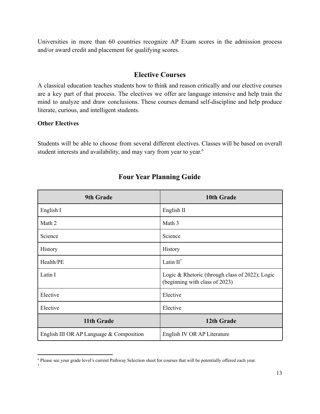Universities in more than 60 countries recognize AP Exam scores in the admission process and/or award credit and placement for qualifying scores.

### **Elective Courses**

A classical education teaches students how to think and reason critically and our elective courses are a key part of that process. The electives we offer are language intensive and help train the mind to analyze and draw conclusions. These courses demand self-discipline and help produce literate, curious, and intelligent students.

#### **Other Electives**

Students will be able to choose from several different electives. Classes will be based on overall student interests and availability, and may vary from year to year.<sup>6</sup>

| <b>9th Grade</b>                         | 10th Grade                                                                        |
|------------------------------------------|-----------------------------------------------------------------------------------|
| English I                                | English II                                                                        |
| Math 2                                   | Math 3                                                                            |
| Science                                  | Science                                                                           |
| <b>History</b>                           | History                                                                           |
| Health/PE                                | Latin $II7$                                                                       |
| Latin I                                  | Logic & Rhetoric (through class of 2022); Logic<br>(beginning with class of 2023) |
| Elective                                 | Elective                                                                          |
| Elective                                 | Elective                                                                          |
| 11th Grade                               | 12th Grade                                                                        |
| English III OR AP Language & Composition | English IV OR AP Literature                                                       |

### **Four Year Planning Guide**

<sup>7</sup> <sup>6</sup> Please see your grade level's current Pathway Selection sheet for courses that will be potentially offered each year.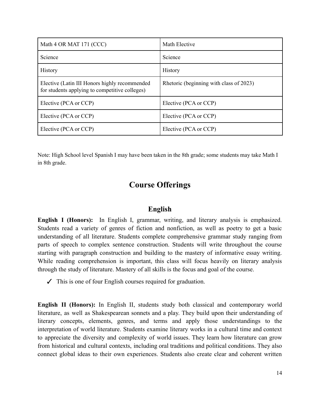| Math 4 OR MAT 171 (CCC)                                                                         | Math Elective                           |
|-------------------------------------------------------------------------------------------------|-----------------------------------------|
| Science                                                                                         | Science                                 |
| <b>History</b>                                                                                  | History                                 |
| Elective (Latin III Honors highly recommended<br>for students applying to competitive colleges) | Rhetoric (beginning with class of 2023) |
| Elective (PCA or CCP)                                                                           | Elective (PCA or CCP)                   |
| Elective (PCA or CCP)                                                                           | Elective (PCA or CCP)                   |
| Elective (PCA or CCP)                                                                           | Elective (PCA or CCP)                   |

Note: High School level Spanish I may have been taken in the 8th grade; some students may take Math I in 8th grade.

# **Course Offerings**

### **English**

**English I (Honors):** In English I, grammar, writing, and literary analysis is emphasized. Students read a variety of genres of fiction and nonfiction, as well as poetry to get a basic understanding of all literature. Students complete comprehensive grammar study ranging from parts of speech to complex sentence construction. Students will write throughout the course starting with paragraph construction and building to the mastery of informative essay writing. While reading comprehension is important, this class will focus heavily on literary analysis through the study of literature. Mastery of all skills is the focus and goal of the course.

✓ This is one of four English courses required for graduation.

**English II (Honors):** In English II, students study both classical and contemporary world literature, as well as Shakespearean sonnets and a play. They build upon their understanding of literary concepts, elements, genres, and terms and apply those understandings to the interpretation of world literature. Students examine literary works in a cultural time and context to appreciate the diversity and complexity of world issues. They learn how literature can grow from historical and cultural contexts, including oral traditions and political conditions. They also connect global ideas to their own experiences. Students also create clear and coherent written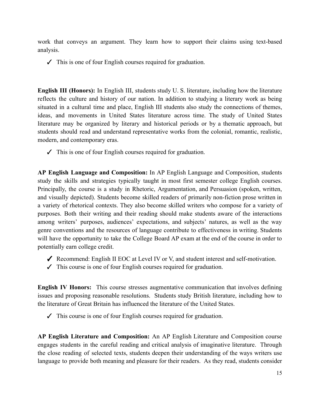work that conveys an argument. They learn how to support their claims using text-based analysis.

✓ This is one of four English courses required for graduation.

**English III (Honors):** In English III, students study U. S. literature, including how the literature reflects the culture and history of our nation. In addition to studying a literary work as being situated in a cultural time and place, English III students also study the connections of themes, ideas, and movements in United States literature across time. The study of United States literature may be organized by literary and historical periods or by a thematic approach, but students should read and understand representative works from the colonial, romantic, realistic, modern, and contemporary eras.

✓ This is one of four English courses required for graduation.

**AP English Language and Composition:** In AP English Language and Composition, students study the skills and strategies typically taught in most first semester college English courses. Principally, the course is a study in Rhetoric, Argumentation, and Persuasion (spoken, written, and visually depicted). Students become skilled readers of primarily non-fiction prose written in a variety of rhetorical contexts. They also become skilled writers who compose for a variety of purposes. Both their writing and their reading should make students aware of the interactions among writers' purposes, audiences' expectations, and subjects' natures, as well as the way genre conventions and the resources of language contribute to effectiveness in writing. Students will have the opportunity to take the College Board AP exam at the end of the course in order to potentially earn college credit.

- ✓ Recommend: English II EOC at Level IV or V, and student interest and self-motivation.
- $\checkmark$  This course is one of four English courses required for graduation.

**English IV Honors:** This course stresses augmentative communication that involves defining issues and proposing reasonable resolutions. Students study British literature, including how to the literature of Great Britain has influenced the literature of the United States.

 $\checkmark$  This course is one of four English courses required for graduation.

**AP English Literature and Composition:** An AP English Literature and Composition course engages students in the careful reading and critical analysis of imaginative literature. Through the close reading of selected texts, students deepen their understanding of the ways writers use language to provide both meaning and pleasure for their readers. As they read, students consider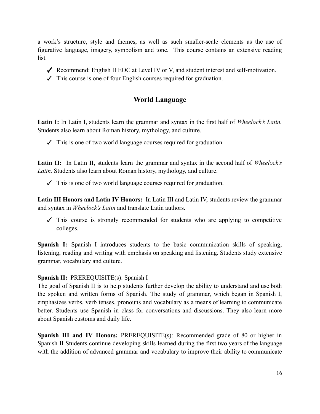a work's structure, style and themes, as well as such smaller-scale elements as the use of figurative language, imagery, symbolism and tone. This course contains an extensive reading list.

- $\blacktriangleright$  Recommend: English II EOC at Level IV or V, and student interest and self-motivation.
- ✓ This course is one of four English courses required for graduation.

### **World Language**

**Latin I:** In Latin I, students learn the grammar and syntax in the first half of *Wheelock's Latin.* Students also learn about Roman history, mythology, and culture.

✓ This is one of two world language courses required for graduation.

**Latin II:** In Latin II, students learn the grammar and syntax in the second half of *Wheelock's Latin.* Students also learn about Roman history, mythology, and culture.

✓ This is one of two world language courses required for graduation.

**Latin III Honors and Latin IV Honors:** In Latin III and Latin IV, students review the grammar and syntax in *Wheelock's Latin* and translate Latin authors.

 $\checkmark$  This course is strongly recommended for students who are applying to competitive colleges.

**Spanish I:** Spanish I introduces students to the basic communication skills of speaking, listening, reading and writing with emphasis on speaking and listening. Students study extensive grammar, vocabulary and culture.

#### **Spanish II:** PREREQUISITE(s): Spanish I

The goal of Spanish II is to help students further develop the ability to understand and use both the spoken and written forms of Spanish. The study of grammar, which began in Spanish I, emphasizes verbs, verb tenses, pronouns and vocabulary as a means of learning to communicate better. Students use Spanish in class for conversations and discussions. They also learn more about Spanish customs and daily life.

**Spanish III and IV Honors:** PREREQUISITE(s): Recommended grade of 80 or higher in Spanish II Students continue developing skills learned during the first two years of the language with the addition of advanced grammar and vocabulary to improve their ability to communicate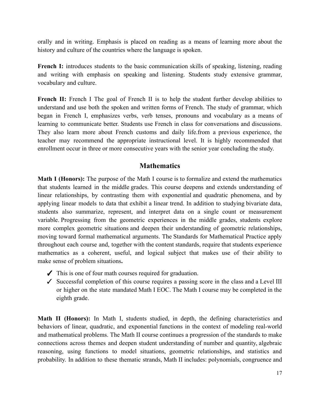orally and in writing. Emphasis is placed on reading as a means of learning more about the history and culture of the countries where the language is spoken.

**French I:** introduces students to the basic communication skills of speaking, listening, reading and writing with emphasis on speaking and listening. Students study extensive grammar, vocabulary and culture.

**French II:** French I The goal of French II is to help the student further develop abilities to understand and use both the spoken and written forms of French. The study of grammar, which began in French I, emphasizes verbs, verb tenses, pronouns and vocabulary as a means of learning to communicate better. Students use French in class for conversations and discussions. They also learn more about French customs and daily life.from a previous experience, the teacher may recommend the appropriate instructional level. It is highly recommended that enrollment occur in three or more consecutive years with the senior year concluding the study.

### **Mathematics**

**Math I (Honors):** The purpose of the Math I course is to formalize and extend the mathematics that students learned in the middle grades. This course deepens and extends understanding of linear relationships, by contrasting them with exponential and quadratic phenomena, and by applying linear models to data that exhibit a linear trend. In addition to studying bivariate data, students also summarize, represent, and interpret data on a single count or measurement variable. Progressing from the geometric experiences in the middle grades, students explore more complex geometric situations and deepen their understanding of geometric relationships, moving toward formal mathematical arguments. The Standards for Mathematical Practice apply throughout each course and, together with the content standards, require that students experience mathematics as a coherent, useful, and logical subject that makes use of their ability to make sense of problem situations**.**

- $\checkmark$  This is one of four math courses required for graduation.
- ✓ Successful completion of this course requires a passing score in the class and a Level III or higher on the state mandated Math I EOC. The Math I course may be completed in the eighth grade.

**Math II (Honors):** In Math I, students studied, in depth, the defining characteristics and behaviors of linear, quadratic, and exponential functions in the context of modeling real-world and mathematical problems. The Math II course continues a progression of the standards to make connections across themes and deepen student understanding of number and quantity, algebraic reasoning, using functions to model situations, geometric relationships, and statistics and probability. In addition to these thematic strands, Math II includes: polynomials, congruence and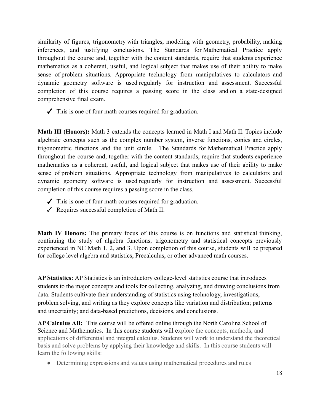similarity of figures, trigonometry with triangles, modeling with geometry, probability, making inferences, and justifying conclusions. The Standards for Mathematical Practice apply throughout the course and, together with the content standards, require that students experience mathematics as a coherent, useful, and logical subject that makes use of their ability to make sense of problem situations. Appropriate technology from manipulatives to calculators and dynamic geometry software is used regularly for instruction and assessment. Successful completion of this course requires a passing score in the class and on a state-designed comprehensive final exam.

 $\checkmark$  This is one of four math courses required for graduation.

**Math III (Honors):** Math 3 extends the concepts learned in Math I and Math II. Topics include algebraic concepts such as the complex number system, inverse functions, conics and circles, trigonometric functions and the unit circle. The Standards for Mathematical Practice apply throughout the course and, together with the content standards, require that students experience mathematics as a coherent, useful, and logical subject that makes use of their ability to make sense of problem situations. Appropriate technology from manipulatives to calculators and dynamic geometry software is used regularly for instruction and assessment. Successful completion of this course requires a passing score in the class.

- $\blacktriangleright$  This is one of four math courses required for graduation.
- ✓ Requires successful completion of Math II.

**Math IV Honors:** The primary focus of this course is on functions and statistical thinking, continuing the study of algebra functions, trigonometry and statistical concepts previously experienced in NC Math 1, 2, and 3. Upon completion of this course, students will be prepared for college level algebra and statistics, Precalculus, or other advanced math courses.

**AP Statistics**: AP Statistics is an introductory college-level statistics course that introduces students to the major concepts and tools for collecting, analyzing, and drawing conclusions from data. Students cultivate their understanding of statistics using technology, investigations, problem solving, and writing as they explore concepts like variation and distribution; patterns and uncertainty; and data-based predictions, decisions, and conclusions.

**AP Calculus AB:** This course will be offered online through the North Carolina School of Science and Mathematics. In this course students will explore the concepts, methods, and applications of differential and integral calculus. Students will work to understand the theoretical basis and solve problems by applying their knowledge and skills. In this course students will learn the following skills:

• Determining expressions and values using mathematical procedures and rules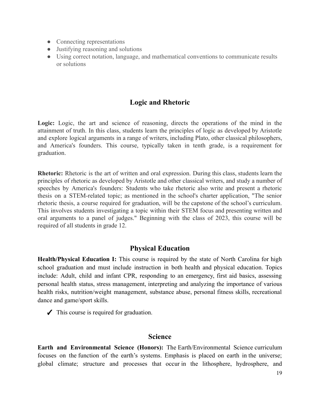- Connecting representations
- Justifying reasoning and solutions
- Using correct notation, language, and mathematical conventions to communicate results or solutions

### **Logic and Rhetoric**

**Logic:** Logic, the art and science of reasoning, directs the operations of the mind in the attainment of truth. In this class, students learn the principles of logic as developed by Aristotle and explore logical arguments in a range of writers, including Plato, other classical philosophers, and America's founders. This course, typically taken in tenth grade, is a requirement for graduation.

**Rhetoric:** Rhetoric is the art of written and oral expression. During this class, students learn the principles of rhetoric as developed by Aristotle and other classical writers, and study a number of speeches by America's founders: Students who take rhetoric also write and present a rhetoric thesis on a STEM-related topic; as mentioned in the school's charter application, "The senior rhetoric thesis, a course required for graduation, will be the capstone of the school's curriculum. This involves students investigating a topic within their STEM focus and presenting written and oral arguments to a panel of judges." Beginning with the class of 2023, this course will be required of all students in grade 12.

### **Physical Education**

**Health/Physical Education I:** This course is required by the state of North Carolina for high school graduation and must include instruction in both health and physical education. Topics include: Adult, child and infant CPR, responding to an emergency, first aid basics, assessing personal health status, stress management, interpreting and analyzing the importance of various health risks, nutrition/weight management, substance abuse, personal fitness skills, recreational dance and game/sport skills.

 $\blacktriangleright$  This course is required for graduation.

### **Science**

**Earth and Environmental Science (Honors):** The Earth/Environmental Science curriculum focuses on the function of the earth's systems. Emphasis is placed on earth in the universe; global climate; structure and processes that occur in the lithosphere, hydrosphere, and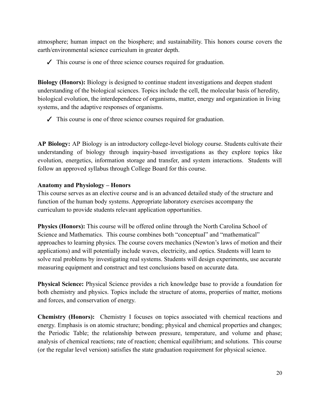atmosphere; human impact on the biosphere; and sustainability. This honors course covers the earth/environmental science curriculum in greater depth.

✓ This course is one of three science courses required for graduation.

**Biology (Honors):** Biology is designed to continue student investigations and deepen student understanding of the biological sciences. Topics include the cell, the molecular basis of heredity, biological evolution, the interdependence of organisms, matter, energy and organization in living systems, and the adaptive responses of organisms.

✓ This course is one of three science courses required for graduation.

**AP Biology:** AP Biology is an introductory college-level biology course. Students cultivate their understanding of biology through inquiry-based investigations as they explore topics like evolution, energetics, information storage and transfer, and system interactions. Students will follow an approved syllabus through College Board for this course.

#### **Anatomy and Physiology – Honors**

This course serves as an elective course and is an advanced detailed study of the structure and function of the human body systems. Appropriate laboratory exercises accompany the curriculum to provide students relevant application opportunities.

**Physics (Honors):** This course will be offered online through the North Carolina School of Science and Mathematics. This course combines both "conceptual" and "mathematical" approaches to learning physics. The course covers mechanics (Newton's laws of motion and their applications) and will potentially include waves, electricity, and optics. Students will learn to solve real problems by investigating real systems. Students will design experiments, use accurate measuring equipment and construct and test conclusions based on accurate data.

**Physical Science:** Physical Science provides a rich knowledge base to provide a foundation for both chemistry and physics. Topics include the structure of atoms, properties of matter, motions and forces, and conservation of energy.

**Chemistry (Honors):** Chemistry I focuses on topics associated with chemical reactions and energy. Emphasis is on atomic structure; bonding; physical and chemical properties and changes; the Periodic Table; the relationship between pressure, temperature, and volume and phase; analysis of chemical reactions; rate of reaction; chemical equilibrium; and solutions. This course (or the regular level version) satisfies the state graduation requirement for physical science.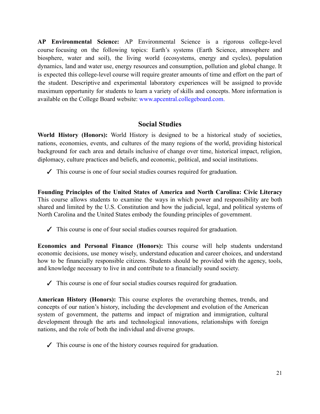**AP Environmental Science:** AP Environmental Science is a rigorous college-level course focusing on the following topics: Earth's systems (Earth Science, atmosphere and biosphere, water and soil), the living world (ecosystems, energy and cycles), population dynamics, land and water use, energy resources and consumption, pollution and global change. It is expected this college-level course will require greater amounts of time and effort on the part of the student. Descriptive and experimental laboratory experiences will be assigned to provide maximum opportunity for students to learn a variety of skills and concepts. More information is available on the College Board website: [www.apcentral.collegeboard.com.](http://www.apcentral.collegeboard.com./)

#### **Social Studies**

**World History (Honors):** World History is designed to be a historical study of societies, nations, economies, events, and cultures of the many regions of the world, providing historical background for each area and details inclusive of change over time, historical impact, religion, diplomacy, culture practices and beliefs, and economic, political, and social institutions.

✓ This course is one of four social studies courses required for graduation.

**Founding Principles of the United States of America and North Carolina: Civic Literacy** This course allows students to examine the ways in which power and responsibility are both shared and limited by the U.S. Constitution and how the judicial, legal, and political systems of North Carolina and the United States embody the founding principles of government.

✓ This course is one of four social studies courses required for graduation.

**Economics and Personal Finance (Honors):** This course will help students understand economic decisions, use money wisely, understand education and career choices, and understand how to be financially responsible citizens. Students should be provided with the agency, tools, and knowledge necessary to live in and contribute to a financially sound society.

✓ This course is one of four social studies courses required for graduation.

**American History (Honors):** This course explores the overarching themes, trends, and concepts of our nation's history, including the development and evolution of the American system of government, the patterns and impact of migration and immigration, cultural development through the arts and technological innovations, relationships with foreign nations, and the role of both the individual and diverse groups.

 $\checkmark$  This course is one of the history courses required for graduation.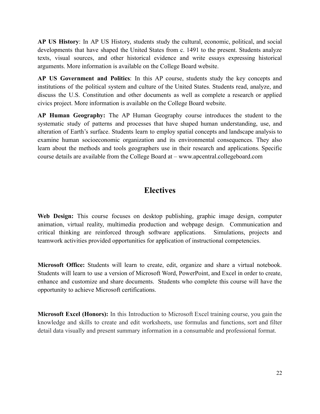**AP US History**: In AP US History, students study the cultural, economic, political, and social developments that have shaped the United States from c. 1491 to the present. Students analyze texts, visual sources, and other historical evidence and write essays expressing historical arguments. More information is available on the College Board website.

**AP US Government and Politics**: In this AP course, students study the key concepts and institutions of the political system and culture of the United States. Students read, analyze, and discuss the U.S. Constitution and other documents as well as complete a research or applied civics project. More information is available on the College Board website.

**AP Human Geography:** The AP Human Geography course introduces the student to the systematic study of patterns and processes that have shaped human understanding, use, and alteration of Earth's surface. Students learn to employ spatial concepts and landscape analysis to examine human socioeconomic organization and its environmental consequences. They also learn about the methods and tools geographers use in their research and applications. Specific course details are available from the College Board at – www.apcentral.collegeboard.com

## **Electives**

**Web Design:** This course focuses on desktop publishing, graphic image design, computer animation, virtual reality, multimedia production and webpage design. Communication and critical thinking are reinforced through software applications. Simulations, projects and teamwork activities provided opportunities for application of instructional competencies.

**Microsoft Office:** Students will learn to create, edit, organize and share a virtual notebook. Students will learn to use a version of Microsoft Word, PowerPoint, and Excel in order to create, enhance and customize and share documents. Students who complete this course will have the opportunity to achieve Microsoft certifications.

**Microsoft Excel (Honors):** In this Introduction to Microsoft Excel training course, you gain the knowledge and skills to create and edit worksheets, use formulas and functions, sort and filter detail data visually and present summary information in a consumable and professional format.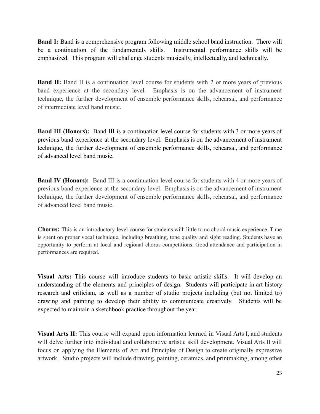**Band I:** Band is a comprehensive program following middle school band instruction. There will be a continuation of the fundamentals skills. Instrumental performance skills will be emphasized. This program will challenge students musically, intellectually, and technically.

**Band II:** Band II is a continuation level course for students with 2 or more years of previous band experience at the secondary level. Emphasis is on the advancement of instrument technique, the further development of ensemble performance skills, rehearsal, and performance of intermediate level band music.

**Band III (Honors):** Band III is a continuation level course for students with 3 or more years of previous band experience at the secondary level. Emphasis is on the advancement of instrument technique, the further development of ensemble performance skills, rehearsal, and performance of advanced level band music.

**Band IV (Honors):** Band III is a continuation level course for students with 4 or more years of previous band experience at the secondary level. Emphasis is on the advancement of instrument technique, the further development of ensemble performance skills, rehearsal, and performance of advanced level band music.

**Chorus:** This is an introductory level course for students with little to no choral music experience. Time is spent on proper vocal technique, including breathing, tone quality and sight reading. Students have an opportunity to perform at local and regional chorus competitions. Good attendance and participation in performances are required.

**Visual Arts:** This course will introduce students to basic artistic skills. It will develop an understanding of the elements and principles of design. Students will participate in art history research and criticism, as well as a number of studio projects including (but not limited to) drawing and painting to develop their ability to communicate creatively. Students will be expected to maintain a sketchbook practice throughout the year.

**Visual Arts II:** This course will expand upon information learned in Visual Arts I, and students will delve further into individual and collaborative artistic skill development. Visual Arts II will focus on applying the Elements of Art and Principles of Design to create originally expressive artwork. Studio projects will include drawing, painting, ceramics, and printmaking, among other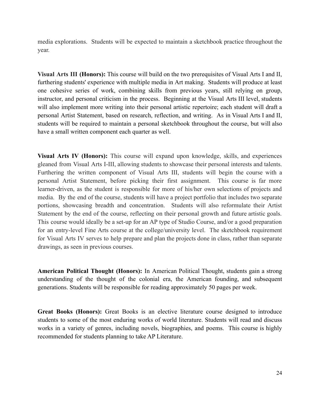media explorations. Students will be expected to maintain a sketchbook practice throughout the year.

**Visual Arts III (Honors):** This course will build on the two prerequisites of Visual Arts I and II, furthering students' experience with multiple media in Art making. Students will produce at least one cohesive series of work, combining skills from previous years, still relying on group, instructor, and personal criticism in the process. Beginning at the Visual Arts III level, students will also implement more writing into their personal artistic repertoire; each student will draft a personal Artist Statement, based on research, reflection, and writing. As in Visual Arts I and II, students will be required to maintain a personal sketchbook throughout the course, but will also have a small written component each quarter as well.

**Visual Arts IV (Honors):** This course will expand upon knowledge, skills, and experiences gleaned from Visual Arts I-III, allowing students to showcase their personal interests and talents. Furthering the written component of Visual Arts III, students will begin the course with a personal Artist Statement, before picking their first assignment. This course is far more learner-driven, as the student is responsible for more of his/her own selections of projects and media. By the end of the course, students will have a project portfolio that includes two separate portions, showcasing breadth and concentration. Students will also reformulate their Artist Statement by the end of the course, reflecting on their personal growth and future artistic goals. This course would ideally be a set-up for an AP type of Studio Course, and/or a good preparation for an entry-level Fine Arts course at the college/university level. The sketchbook requirement for Visual Arts IV serves to help prepare and plan the projects done in class, rather than separate drawings, as seen in previous courses.

**American Political Thought (Honors):** In American Political Thought, students gain a strong understanding of the thought of the colonial era, the American founding, and subsequent generations. Students will be responsible for reading approximately 50 pages per week.

**Great Books (Honors):** Great Books is an elective literature course designed to introduce students to some of the most enduring works of world literature. Students will read and discuss works in a variety of genres, including novels, biographies, and poems. This course is highly recommended for students planning to take AP Literature.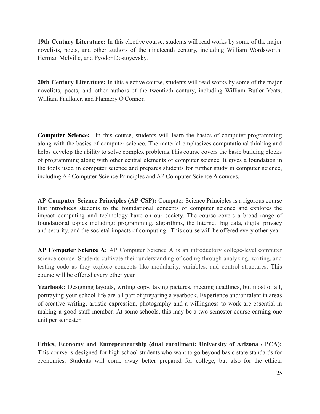**19th Century Literature:** In this elective course, students will read works by some of the major novelists, poets, and other authors of the nineteenth century, including William Wordsworth, Herman Melville, and Fyodor Dostoyevsky.

**20th Century Literature:** In this elective course, students will read works by some of the major novelists, poets, and other authors of the twentieth century, including William Butler Yeats, William Faulkner, and Flannery O'Connor.

**Computer Science:** In this course, students will learn the basics of computer programming along with the basics of computer science. The material emphasizes computational thinking and helps develop the ability to solve complex problems.This course covers the basic building blocks of programming along with other central elements of computer science. It gives a foundation in the tools used in computer science and prepares students for further study in computer science, including AP Computer Science Principles and AP Computer Science A courses.

**AP Computer Science Principles (AP CSP):** Computer Science Principles is a rigorous course that introduces students to the foundational concepts of computer science and explores the impact computing and technology have on our society. The course covers a broad range of foundational topics including: programming, algorithms, the Internet, big data, digital privacy and security, and the societal impacts of computing. This course will be offered every other year.

**AP Computer Science A:** AP Computer Science A is an introductory college-level computer science course. Students cultivate their understanding of coding through analyzing, writing, and testing code as they explore concepts like modularity, variables, and control structures. This course will be offered every other year.

**Yearbook:** Designing layouts, writing copy, taking pictures, meeting deadlines, but most of all, portraying your school life are all part of preparing a yearbook. Experience and/or talent in areas of creative writing, artistic expression, photography and a willingness to work are essential in making a good staff member. At some schools, this may be a two-semester course earning one unit per semester.

**Ethics, Economy and Entrepreneurship (dual enrollment: University of Arizona / PCA):** This course is designed for high school students who want to go beyond basic state standards for economics. Students will come away better prepared for college, but also for the ethical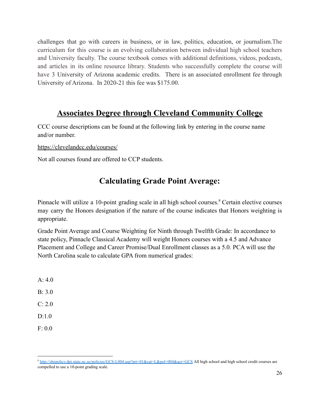challenges that go with careers in business, or in law, politics, education, or journalism.The curriculum for this course is an evolving collaboration between individual high school teachers and University faculty. The course textbook comes with additional definitions, videos, podcasts, and articles in its online resource library. Students who successfully complete the course will have 3 University of Arizona academic credits. There is an associated enrollment fee through University of Arizona. In 2020-21 this fee was \$175.00.

# **Associates Degree through Cleveland Community College**

CCC course descriptions can be found at the following link by entering in the course name and/or number.

<https://clevelandcc.edu/courses/>

Not all courses found are offered to CCP students.

# **Calculating Grade Point Average:**

Pinnacle will utilize a 10-point grading scale in all high school courses.<sup>8</sup> Certain elective courses may carry the Honors designation if the nature of the course indicates that Honors weighting is appropriate.

Grade Point Average and Course Weighting for Ninth through Twelfth Grade: In accordance to state policy, Pinnacle Classical Academy will weight Honors courses with a 4.5 and Advance Placement and College and Career Promise/Dual Enrollment classes as a 5.0. PCA will use the North Carolina scale to calculate GPA from numerical grades:

- $A \cdot 4.0$
- $B.30$
- $C: 2.0$
- $D:1.0$

F: 0.0

<sup>8</sup> <http://sbepolicy.dpi.state.nc.us/policies/GCS-L004.asp?pri=01&cat=L&pol=004&acr=GCS> All high school and high school credit courses are compelled to use a 10-point grading scale.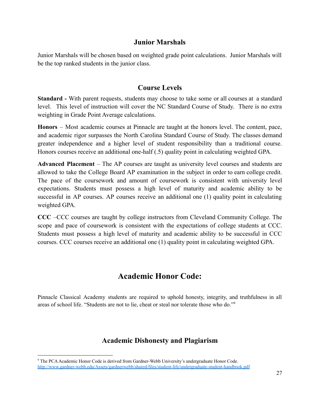### **Junior Marshals**

Junior Marshals will be chosen based on weighted grade point calculations. Junior Marshals will be the top ranked students in the junior class.

#### **Course Levels**

**Standard -** With parent requests, students may choose to take some or all courses at a standard level. This level of instruction will cover the NC Standard Course of Study. There is no extra weighting in Grade Point Average calculations.

**Honors** – Most academic courses at Pinnacle are taught at the honors level. The content, pace, and academic rigor surpasses the North Carolina Standard Course of Study. The classes demand greater independence and a higher level of student responsibility than a traditional course. Honors courses receive an additional one-half (.5) quality point in calculating weighted GPA.

**Advanced Placement** – The AP courses are taught as university level courses and students are allowed to take the College Board AP examination in the subject in order to earn college credit. The pace of the coursework and amount of coursework is consistent with university level expectations. Students must possess a high level of maturity and academic ability to be successful in AP courses. AP courses receive an additional one (1) quality point in calculating weighted GPA.

**CCC** –CCC courses are taught by college instructors from Cleveland Community College. The scope and pace of coursework is consistent with the expectations of college students at CCC. Students must possess a high level of maturity and academic ability to be successful in CCC courses. CCC courses receive an additional one (1) quality point in calculating weighted GPA.

# **Academic Honor Code:**

Pinnacle Classical Academy students are required to uphold honesty, integrity, and truthfulness in all areas of school life. "Students are not to lie, cheat or steal nor tolerate those who do." 9

### **Academic Dishonesty and Plagiarism**

<sup>&</sup>lt;sup>9</sup> The PCA Academic Honor Code is derived from Gardner-Webb University's undergraduate Honor Code. <http://www.gardner-webb.edu/Assets/gardnerwebb/shared/files/student-life/undergraduate-student-handbook.pdf>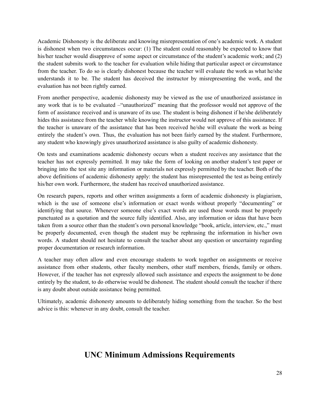Academic Dishonesty is the deliberate and knowing misrepresentation of one's academic work. A student is dishonest when two circumstances occur: (1) The student could reasonably be expected to know that his/her teacher would disapprove of some aspect or circumstance of the student's academic work; and (2) the student submits work to the teacher for evaluation while hiding that particular aspect or circumstance from the teacher. To do so is clearly dishonest because the teacher will evaluate the work as what he/she understands it to be. The student has deceived the instructor by misrepresenting the work, and the evaluation has not been rightly earned.

From another perspective, academic dishonesty may be viewed as the use of unauthorized assistance in any work that is to be evaluated –"unauthorized" meaning that the professor would not approve of the form of assistance received and is unaware of its use. The student is being dishonest if he/she deliberately hides this assistance from the teacher while knowing the instructor would not approve of this assistance. If the teacher is unaware of the assistance that has been received he/she will evaluate the work as being entirely the student's own. Thus, the evaluation has not been fairly earned by the student. Furthermore, any student who knowingly gives unauthorized assistance is also guilty of academic dishonesty.

On tests and examinations academic dishonesty occurs when a student receives any assistance that the teacher has not expressly permitted. It may take the form of looking on another student's test paper or bringing into the test site any information or materials not expressly permitted by the teacher. Both of the above definitions of academic dishonesty apply: the student has misrepresented the test as being entirely his/her own work. Furthermore, the student has received unauthorized assistance.

On research papers, reports and other written assignments a form of academic dishonesty is plagiarism, which is the use of someone else's information or exact words without properly "documenting" or identifying that source. Whenever someone else's exact words are used those words must be properly punctuated as a quotation and the source fully identified. Also, any information or ideas that have been taken from a source other than the student's own personal knowledge "book, article, interview, etc.," must be properly documented, even though the student may be rephrasing the information in his/her own words. A student should not hesitate to consult the teacher about any question or uncertainty regarding proper documentation or research information.

A teacher may often allow and even encourage students to work together on assignments or receive assistance from other students, other faculty members, other staff members, friends, family or others. However, if the teacher has not expressly allowed such assistance and expects the assignment to be done entirely by the student, to do otherwise would be dishonest. The student should consult the teacher if there is any doubt about outside assistance being permitted.

Ultimately, academic dishonesty amounts to deliberately hiding something from the teacher. So the best advice is this: whenever in any doubt, consult the teacher.

# **UNC Minimum Admissions Requirements**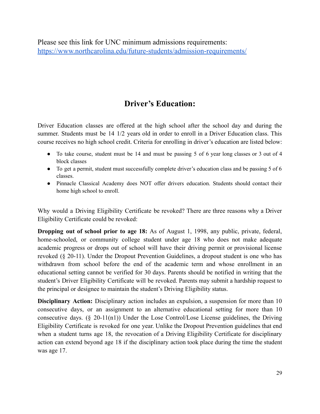Please see this link for UNC minimum admissions requirements: <https://www.northcarolina.edu/future-students/admission-requirements/>

## **Driver's Education:**

Driver Education classes are offered at the high school after the school day and during the summer. Students must be 14 1/2 years old in order to enroll in a Driver Education class. This course receives no high school credit. Criteria for enrolling in driver's education are listed below:

- To take course, student must be 14 and must be passing 5 of 6 year long classes or 3 out of 4 block classes
- To get a permit, student must successfully complete driver's education class and be passing 5 of 6 classes.
- Pinnacle Classical Academy does NOT offer drivers education. Students should contact their home high school to enroll.

Why would a Driving Eligibility Certificate be revoked? There are three reasons why a Driver Eligibility Certificate could be revoked:

**Dropping out of school prior to age 18:** As of August 1, 1998, any public, private, federal, home-schooled, or community college student under age 18 who does not make adequate academic progress or drops out of school will have their driving permit or provisional license revoked (§ 20-11). Under the Dropout Prevention Guidelines, a dropout student is one who has withdrawn from school before the end of the academic term and whose enrollment in an educational setting cannot be verified for 30 days. Parents should be notified in writing that the student's Driver Eligibility Certificate will be revoked. Parents may submit a hardship request to the principal or designee to maintain the student's Driving Eligibility status.

**Disciplinary Action:** Disciplinary action includes an expulsion, a suspension for more than 10 consecutive days, or an assignment to an alternative educational setting for more than 10 consecutive days.  $(8 \t20-11(n1))$  Under the Lose Control/Lose License guidelines, the Driving Eligibility Certificate is revoked for one year. Unlike the Dropout Prevention guidelines that end when a student turns age 18, the revocation of a Driving Eligibility Certificate for disciplinary action can extend beyond age 18 if the disciplinary action took place during the time the student was age 17.